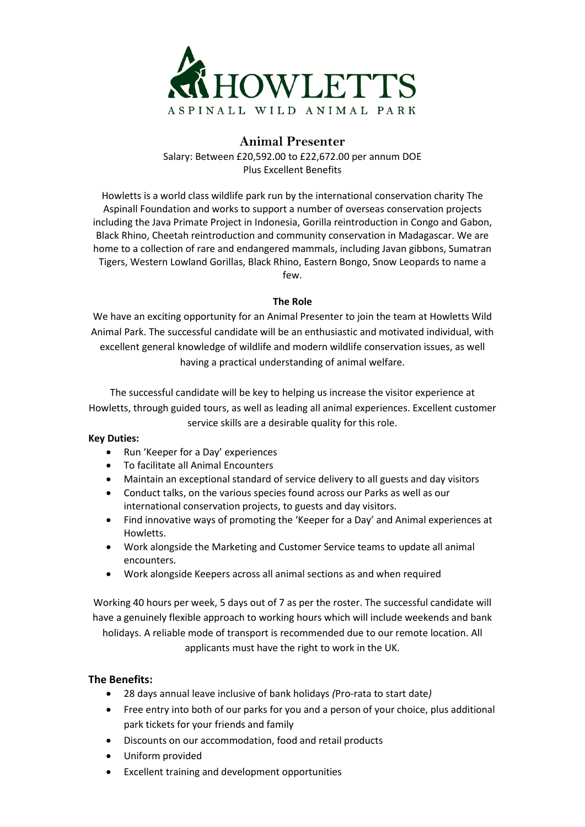

## **Animal Presenter**

Salary: Between £20,592.00 to £22,672.00 per annum DOE Plus Excellent Benefits

Howletts is a world class wildlife park run by the international conservation charity The Aspinall Foundation and works to support a number of overseas conservation projects including the Java Primate Project in Indonesia, Gorilla reintroduction in Congo and Gabon, Black Rhino, Cheetah reintroduction and community conservation in Madagascar. We are home to a collection of rare and endangered mammals, including Javan gibbons, Sumatran Tigers, Western Lowland Gorillas, Black Rhino, Eastern Bongo, Snow Leopards to name a few.

## **The Role**

We have an exciting opportunity for an Animal Presenter to join the team at Howletts Wild Animal Park. The successful candidate will be an enthusiastic and motivated individual, with excellent general knowledge of wildlife and modern wildlife conservation issues, as well having a practical understanding of animal welfare.

The successful candidate will be key to helping us increase the visitor experience at Howletts, through guided tours, as well as leading all animal experiences. Excellent customer service skills are a desirable quality for this role.

## **Key Duties:**

- Run 'Keeper for a Day' experiences
- To facilitate all Animal Encounters
- Maintain an exceptional standard of service delivery to all guests and day visitors
- Conduct talks, on the various species found across our Parks as well as our international conservation projects, to guests and day visitors.
- Find innovative ways of promoting the 'Keeper for a Day' and Animal experiences at Howletts.
- Work alongside the Marketing and Customer Service teams to update all animal encounters.
- Work alongside Keepers across all animal sections as and when required

Working 40 hours per week, 5 days out of 7 as per the roster. The successful candidate will have a genuinely flexible approach to working hours which will include weekends and bank holidays. A reliable mode of transport is recommended due to our remote location. All applicants must have the right to work in the UK.

**The Benefits:**

- 28 days annual leave inclusive of bank holidays *(*Pro-rata to start date*)*
- Free entry into both of our parks for you and a person of your choice, plus additional park tickets for your friends and family
- Discounts on our accommodation, food and retail products
- Uniform provided
- Excellent training and development opportunities